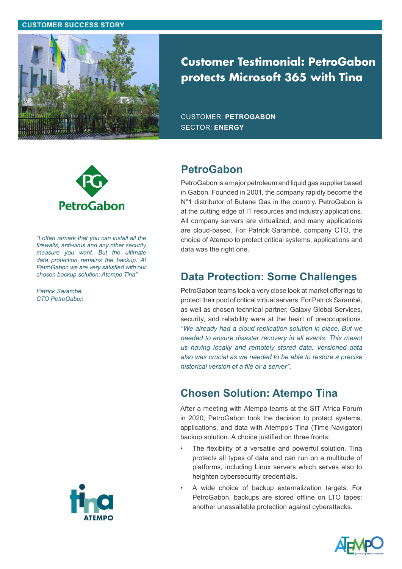#### **CUSTOMER SUCCESS STORY**



# **Customer Testimonial: PetroGabon protects Microsoft 365 with Tina**

CUSTOMER: **PETROGABON** SECTOR: **ENERGY**



*"I often remark that you can install all the firewalls, anti-virus and any other security measure you want. But the ultimate data protection remains the backup. At PetroGabon we are very satisfied with our chosen backup solution: Atempo Tina"* 

*Patrick Sarambé, CTO PetroGabon*



PetroGabon is a major petroleum and liquid gas supplier based in Gabon. Founded in 2001, the company rapidly become the N°1 distributor of Butane Gas in the country. PetroGabon is at the cutting edge of IT resources and industry applications. All company servers are virtualized, and many applications are cloud-based. For Patrick Sarambé, company CTO, the choice of Atempo to protect critical systems, applications and data was the right one.

## **Data Protection: Some Challenges**

PetroGabon teams took a very close look at market offerings to protect their pool of critical virtual servers. For Patrick Sarambé, as well as chosen technical partner, Galaxy Global Services, security, and reliability were at the heart of preoccupations. *"We already had a cloud replication solution in place. But we needed to ensure disaster recovery in all events. This meant us having locally and remotely stored data. Versioned data also was crucial as we needed to be able to restore a precise historical version of a file or a server"*.

# **Chosen Solution: Atempo Tina**

After a meeting with Atempo teams at the SIT Africa Forum in 2020, PetroGabon took the decision to protect systems, applications, and data with Atempo's Tina (Time Navigator) backup solution. A choice justified on three fronts:

- The flexibility of a versatile and powerful solution. Tina protects all types of data and can run on a multitude of platforms, including Linux servers which serves also to heighten cybersecurity credentials.
- A wide choice of backup externalization targets. For PetroGabon, backups are stored offline on LTO tapes: another unassailable protection against cyberattacks.